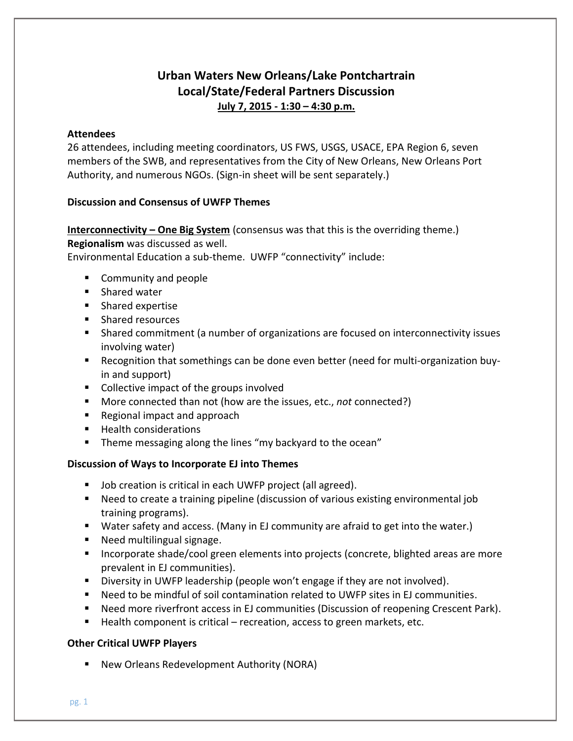# **Urban Waters New Orleans/Lake Pontchartrain Local/State/Federal Partners Discussion July 7, 2015 - 1:30 – 4:30 p.m.**

### **Attendees**

26 attendees, including meeting coordinators, US FWS, USGS, USACE, EPA Region 6, seven members of the SWB, and representatives from the City of New Orleans, New Orleans Port Authority, and numerous NGOs. (Sign-in sheet will be sent separately.)

## **Discussion and Consensus of UWFP Themes**

**Interconnectivity – One Big System** (consensus was that this is the overriding theme.) **Regionalism** was discussed as well.

Environmental Education a sub-theme. UWFP "connectivity" include:

- **Community and people**
- **Shared water**
- **Shared expertise**
- **Shared resources**
- Shared commitment (a number of organizations are focused on interconnectivity issues involving water)
- Recognition that somethings can be done even better (need for multi-organization buyin and support)
- Collective impact of the groups involved
- More connected than not (how are the issues, etc., *not* connected?)
- Regional impact and approach
- Health considerations
- **Theme messaging along the lines "my backyard to the ocean"**

## **Discussion of Ways to Incorporate EJ into Themes**

- **Job creation is critical in each UWFP project (all agreed).**
- Need to create a training pipeline (discussion of various existing environmental job training programs).
- Water safety and access. (Many in EJ community are afraid to get into the water.)
- **Need multilingual signage.**
- **Incorporate shade/cool green elements into projects (concrete, blighted areas are more** prevalent in EJ communities).
- **Diversity in UWFP leadership (people won't engage if they are not involved).**
- Need to be mindful of soil contamination related to UWFP sites in EJ communities.
- Need more riverfront access in EJ communities (Discussion of reopening Crescent Park).
- Health component is critical recreation, access to green markets, etc.

## **Other Critical UWFP Players**

■ New Orleans Redevelopment Authority (NORA)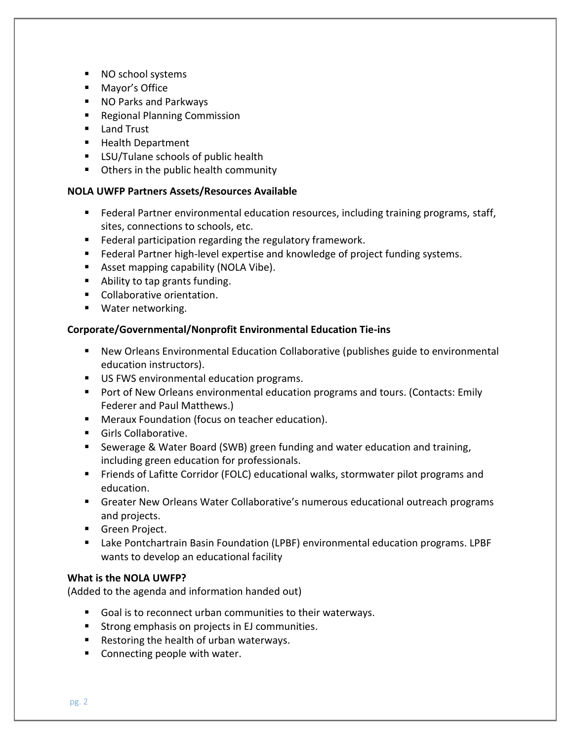- NO school systems
- Mayor's Office
- NO Parks and Parkways
- Regional Planning Commission
- **Land Trust**
- Health Department
- **EXECU/Tulane schools of public health**
- **Others in the public health community**

## **NOLA UWFP Partners Assets/Resources Available**

- Federal Partner environmental education resources, including training programs, staff, sites, connections to schools, etc.
- **Federal participation regarding the regulatory framework.**
- **Federal Partner high-level expertise and knowledge of project funding systems.**
- **Asset mapping capability (NOLA Vibe).**
- Ability to tap grants funding.
- **Collaborative orientation.**
- **Water networking.**

## **Corporate/Governmental/Nonprofit Environmental Education Tie-ins**

- New Orleans Environmental Education Collaborative (publishes guide to environmental education instructors).
- US FWS environmental education programs.
- Port of New Orleans environmental education programs and tours. (Contacts: Emily Federer and Paul Matthews.)
- **Meraux Foundation (focus on teacher education).**
- **Girls Collaborative.**
- Sewerage & Water Board (SWB) green funding and water education and training, including green education for professionals.
- Friends of Lafitte Corridor (FOLC) educational walks, stormwater pilot programs and education.
- Greater New Orleans Water Collaborative's numerous educational outreach programs and projects.
- **Green Project.**
- Lake Pontchartrain Basin Foundation (LPBF) environmental education programs. LPBF wants to develop an educational facility

# **What is the NOLA UWFP?**

(Added to the agenda and information handed out)

- Goal is to reconnect urban communities to their waterways.
- **Strong emphasis on projects in EJ communities.**
- Restoring the health of urban waterways.
- Connecting people with water.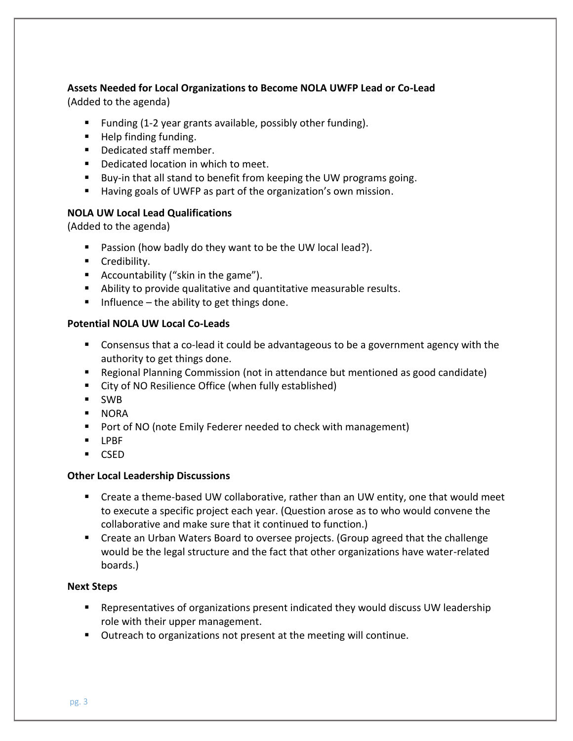### **Assets Needed for Local Organizations to Become NOLA UWFP Lead or Co-Lead** (Added to the agenda)

- Funding (1-2 year grants available, possibly other funding).
- $\blacksquare$  Help finding funding.
- Dedicated staff member.
- **Dedicated location in which to meet.**
- Buy-in that all stand to benefit from keeping the UW programs going.
- Having goals of UWFP as part of the organization's own mission.

## **NOLA UW Local Lead Qualifications**

(Added to the agenda)

- **Passion (how badly do they want to be the UW local lead?).**
- **Credibility.**
- Accountability ("skin in the game").
- Ability to provide qualitative and quantitative measurable results.
- Influence the ability to get things done.

## **Potential NOLA UW Local Co-Leads**

- Consensus that a co-lead it could be advantageous to be a government agency with the authority to get things done.
- Regional Planning Commission (not in attendance but mentioned as good candidate)
- City of NO Resilience Office (when fully established)
- SWB
- **NORA**
- **Port of NO (note Emily Federer needed to check with management)**
- **LPBF**
- CSED

## **Other Local Leadership Discussions**

- Create a theme-based UW collaborative, rather than an UW entity, one that would meet to execute a specific project each year. (Question arose as to who would convene the collaborative and make sure that it continued to function.)
- Create an Urban Waters Board to oversee projects. (Group agreed that the challenge would be the legal structure and the fact that other organizations have water-related boards.)

## **Next Steps**

- Representatives of organizations present indicated they would discuss UW leadership role with their upper management.
- Outreach to organizations not present at the meeting will continue.